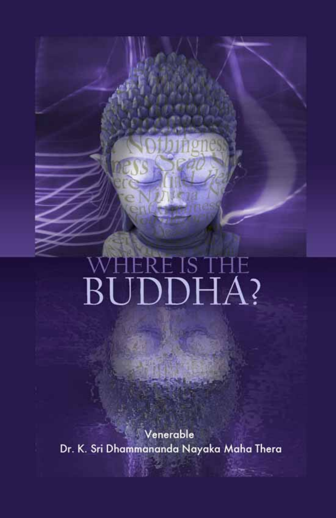Venerable Dr. K. Sri Dhammananda Nayaka Maha Thera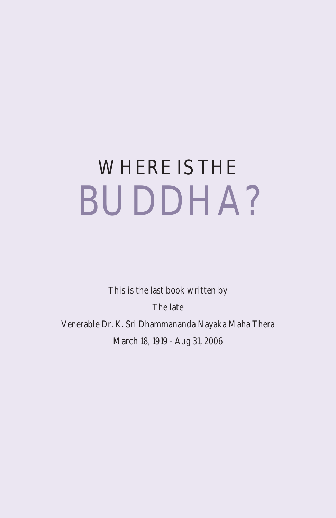This is the last book written by The late Venerable Dr. K. Sri Dhammananda Nayaka Maha Thera March 18, 1919 - Aug 31, 2006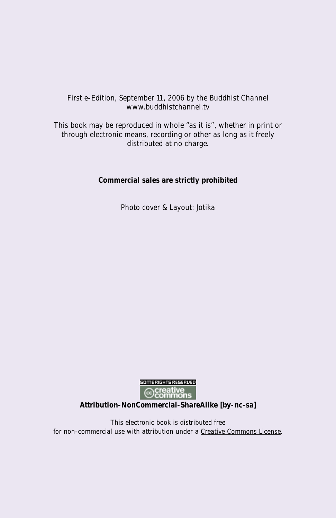#### First e-Edition, September 11, 2006 by the Buddhist Channel www.buddhistchannel.tv

This book may be reproduced in whole "as it is", whether in print or through electronic means, recording or other as long as it freely distributed at no charge.

#### **Commercial sales are strictly prohibited**

Photo cover & Layout: Jotika



**Attribution-NonCommercial-ShareAlike [by-nc-sa]**

This electronic book is distributed free for non-commercial use with attribution under a Creative Commons License.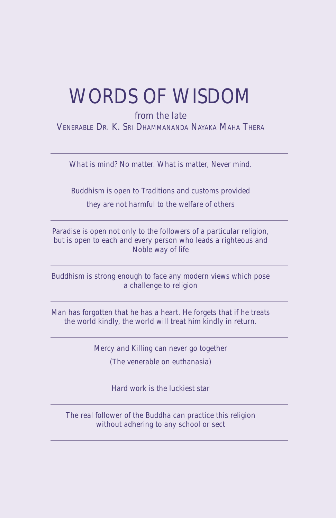### WORDS OF WISDOM

from the late

VENERABLE DR. K. SRI DHAMMANANDA NAYAKA MAHA THERA

What is mind? No matter. What is matter, Never mind.

Buddhism is open to Traditions and customs provided they are not harmful to the welfare of others

Paradise is open not only to the followers of a particular religion, but is open to each and every person who leads a righteous and Noble way of life

Buddhism is strong enough to face any modern views which pose a challenge to religion

Man has forgotten that he has a heart. He forgets that if he treats the world kindly, the world will treat him kindly in return.

Mercy and Killing can never go together

(The venerable on euthanasia)

Hard work is the luckiest star

The real follower of the Buddha can practice this religion without adhering to any school or sect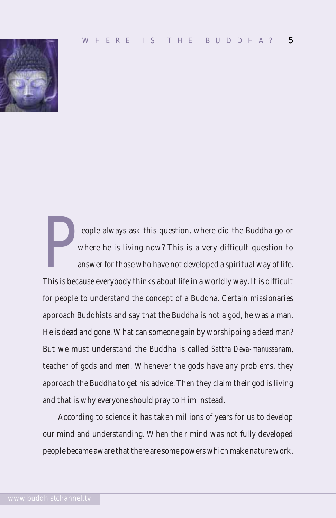

eople always ask this question, where did the Buddha go or where he is living now? This is a very difficult question to answer for those who have not developed a spiritual way of life. This is because everybody thinks about life in a worldly way. It is difficult for people to understand the concept of a Buddha. Certain missionaries approach Buddhists and say that the Buddha is not a god, he was a man. He is dead and gone. What can someone gain by worshipping a dead man? But we must understand the Buddha is called *Sattha Deva-manussanam*, teacher of gods and men. Whenever the gods have any problems, they approach the Buddha to get his advice. Then they claim their god is living and that is why everyone should pray to Him instead.

According to science it has taken millions of years for us to develop our mind and understanding. When their mind was not fully developed people became aware that there are some powers which make nature work.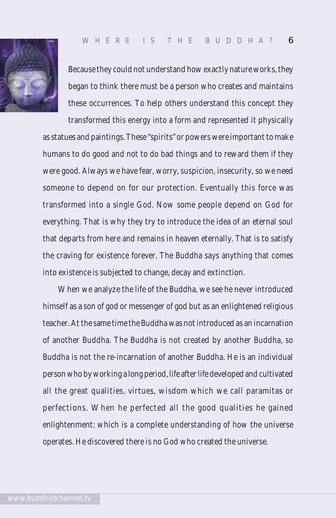

Because they could not understand how exactly nature works, they began to think there must be a person who creates and maintains these occurrences. To help others understand this concept they

transformed this energy into a form and represented it physically as statues and paintings. These "spirits" or powers were important to make humans to do good and not to do bad things and to reward them if they were good. Always we have fear, worry, suspicion, insecurity, so we need someone to depend on for our protection. Eventually this force was transformed into a single God. Now some people depend on God for everything. That is why they try to introduce the idea of an eternal soul that departs from here and remains in heaven eternally. That is to satisfy the craving for existence forever. The Buddha says anything that comes into existence is subjected to change, decay and extinction.

When we analyze the life of the Buddha, we see he never introduced himself as a son of god or messenger of god but as an enlightened religious teacher. At the same time the Buddha was not introduced as an incarnation of another Buddha. The Buddha is not created by another Buddha, so Buddha is not the re-incarnation of another Buddha. He is an individual person who by working a long period, life after life developed and cultivated all the great qualities, virtues, wisdom which we call paramitas or perfections. When he perfected all the good qualities he gained enlightenment: which is a complete understanding of how the universe operates. He discovered there is no God who created the universe.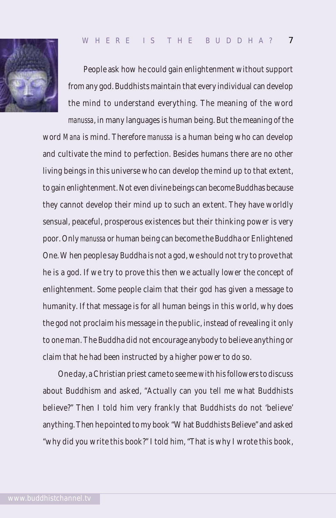



People ask how he could gain enlightenment without support from any god. Buddhists maintain that every individual can develop the mind to understand everything. The meaning of the word

*manussa*, in many languages is human being. But the meaning of the word *Mana* is mind. Therefore *manussa* is a human being who can develop and cultivate the mind to perfection. Besides humans there are no other living beings in this universe who can develop the mind up to that extent, to gain enlightenment. Not even divine beings can become Buddhas because they cannot develop their mind up to such an extent. They have worldly sensual, peaceful, prosperous existences but their thinking power is very poor. Only *manussa* or human being can become the Buddha or Enlightened One. When people say Buddha is not a god, we should not try to prove that he is a god. If we try to prove this then we actually lower the concept of enlightenment. Some people claim that their god has given a message to humanity. If that message is for all human beings in this world, why does the god not proclaim his message in the public, instead of revealing it only to one man. The Buddha did not encourage anybody to believe anything or claim that he had been instructed by a higher power to do so.

One day, a Christian priest came to see me with his followers to discuss about Buddhism and asked, "Actually can you tell me what Buddhists believe?" Then I told him very frankly that Buddhists do not 'believe' anything. Then he pointed to my book "What Buddhists Believe" and asked "why did you write this book?" I told him, "That is why I wrote this book,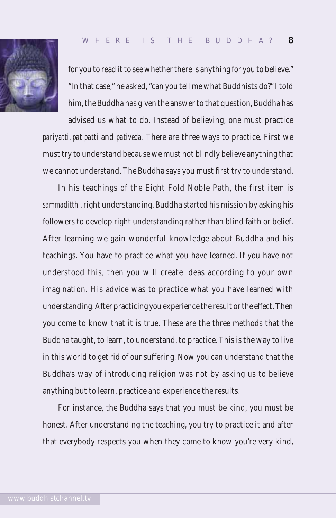

for you to read it to see whether there is anything for you to believe." "In that case," he asked, "can you tell me what Buddhists do?" I told him, the Buddha has given the answer to that question, Buddha has advised us what to do. Instead of believing, one must practice

*pariyatti, patipatti* and *pativeda*. There are three ways to practice. First we must try to understand because we must not blindly believe anything that we cannot understand. The Buddha says you must first try to understand.

In his teachings of the Eight Fold Noble Path, the first item is *sammaditthi*, right understanding. Buddha started his mission by asking his followers to develop right understanding rather than blind faith or belief. After learning we gain wonderful knowledge about Buddha and his teachings. You have to practice what you have learned. If you have not understood this, then you will create ideas according to your own imagination. His advice was to practice what you have learned with understanding. After practicing you experience the result or the effect. Then you come to know that it is true. These are the three methods that the Buddha taught, to learn, to understand, to practice. This is the way to live in this world to get rid of our suffering. Now you can understand that the Buddha's way of introducing religion was not by asking us to believe anything but to learn, practice and experience the results.

For instance, the Buddha says that you must be kind, you must be honest. After understanding the teaching, you try to practice it and after that everybody respects you when they come to know you're very kind,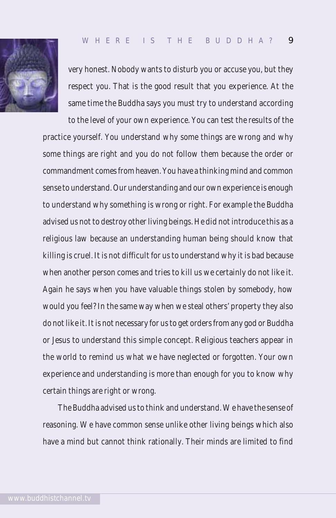

very honest. Nobody wants to disturb you or accuse you, but they respect you. That is the good result that you experience. At the same time the Buddha says you must try to understand according

to the level of your own experience. You can test the results of the practice yourself. You understand why some things are wrong and why some things are right and you do not follow them because the order or commandment comes from heaven. You have a thinking mind and common sense to understand. Our understanding and our own experience is enough to understand why something is wrong or right. For example the Buddha advised us not to destroy other living beings. He did not introduce this as a religious law because an understanding human being should know that killing is cruel. It is not difficult for us to understand why it is bad because when another person comes and tries to kill us we certainly do not like it. Again he says when you have valuable things stolen by somebody, how would you feel? In the same way when we steal others' property they also do not like it. It is not necessary for us to get orders from any god or Buddha or Jesus to understand this simple concept. Religious teachers appear in the world to remind us what we have neglected or forgotten. Your own experience and understanding is more than enough for you to know why certain things are right or wrong.

The Buddha advised us to think and understand. We have the sense of reasoning. We have common sense unlike other living beings which also have a mind but cannot think rationally. Their minds are limited to find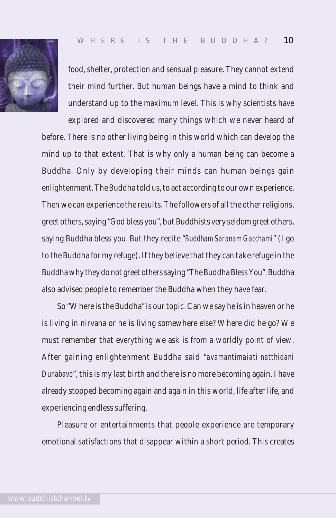

food, shelter, protection and sensual pleasure. They cannot extend their mind further. But human beings have a mind to think and understand up to the maximum level. This is why scientists have

explored and discovered many things which we never heard of before. There is no other living being in this world which can develop the mind up to that extent. That is why only a human being can become a Buddha. Only by developing their minds can human beings gain enlightenment. The Buddha told us, to act according to our own experience. Then we can experience the results. The followers of all the other religions, greet others, saying "God bless you", but Buddhists very seldom greet others, saying Buddha bless you. But they recite "*Buddham Saranam Gacchami*" (I go to the Buddha for my refuge). If they believe that they can take refuge in the Buddha why they do not greet others saying "The Buddha Bless You". Buddha also advised people to remember the Buddha when they have fear.

So "Where is the Buddha" is our topic. Can we say he is in heaven or he is living in nirvana or he is living somewhere else? Where did he go? We must remember that everything we ask is from a worldly point of view. After gaining enlightenment Buddha said "*avamantimaiati natthidani Dunabavo*", this is my last birth and there is no more becoming again. I have already stopped becoming again and again in this world, life after life, and experiencing endless suffering.

Pleasure or entertainments that people experience are temporary emotional satisfactions that disappear within a short period. This creates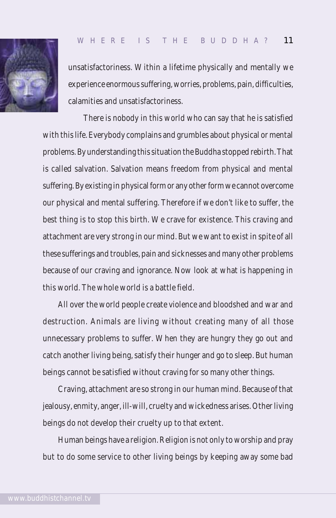

unsatisfactoriness. Within a lifetime physically and mentally we experience enormous suffering, worries, problems, pain, difficulties, calamities and unsatisfactoriness.

There is nobody in this world who can say that he is satisfied with this life. Everybody complains and grumbles about physical or mental problems. By understanding this situation the Buddha stopped rebirth. That is called salvation. Salvation means freedom from physical and mental suffering. By existing in physical form or any other form we cannot overcome our physical and mental suffering. Therefore if we don't like to suffer, the best thing is to stop this birth. We crave for existence. This craving and attachment are very strong in our mind. But we want to exist in spite of all these sufferings and troubles, pain and sicknesses and many other problems because of our craving and ignorance. Now look at what is happening in this world. The whole world is a battle field.

All over the world people create violence and bloodshed and war and destruction. Animals are living without creating many of all those unnecessary problems to suffer. When they are hungry they go out and catch another living being, satisfy their hunger and go to sleep. But human beings cannot be satisfied without craving for so many other things.

Craving, attachment are so strong in our human mind. Because of that jealousy, enmity, anger, ill-will, cruelty and wickedness arises. Other living beings do not develop their cruelty up to that extent.

Human beings have a religion. Religion is not only to worship and pray but to do some service to other living beings by keeping away some bad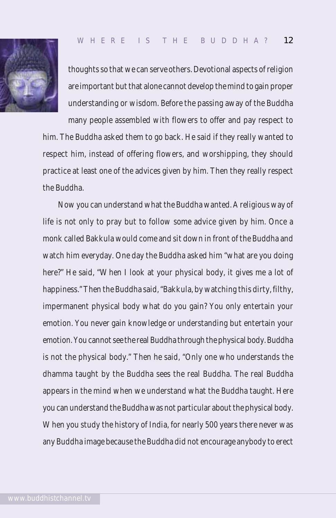

thoughts so that we can serve others. Devotional aspects of religion are important but that alone cannot develop the mind to gain proper understanding or wisdom. Before the passing away of the Buddha

many people assembled with flowers to offer and pay respect to him. The Buddha asked them to go back. He said if they really wanted to respect him, instead of offering flowers, and worshipping, they should practice at least one of the advices given by him. Then they really respect the Buddha.

Now you can understand what the Buddha wanted. A religious way of life is not only to pray but to follow some advice given by him. Once a monk called Bakkula would come and sit down in front of the Buddha and watch him everyday. One day the Buddha asked him "what are you doing here?" He said, "When I look at your physical body, it gives me a lot of happiness." Then the Buddha said, "Bakkula, by watching this dirty, filthy, impermanent physical body what do you gain? You only entertain your emotion. You never gain knowledge or understanding but entertain your emotion. You cannot see the real Buddha through the physical body. Buddha is not the physical body." Then he said, "Only one who understands the dhamma taught by the Buddha sees the real Buddha. The real Buddha appears in the mind when we understand what the Buddha taught. Here you can understand the Buddha was not particular about the physical body. When you study the history of India, for nearly 500 years there never was any Buddha image because the Buddha did not encourage anybody to erect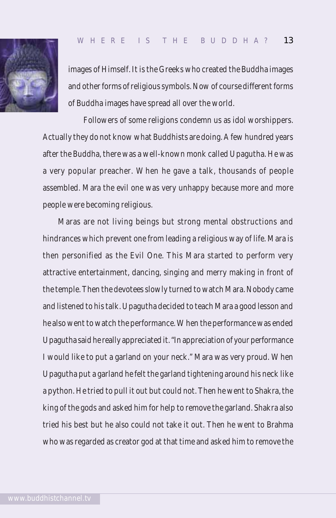

images of Himself. It is the Greeks who created the Buddha images and other forms of religious symbols. Now of course different forms of Buddha images have spread all over the world.

Followers of some religions condemn us as idol worshippers. Actually they do not know what Buddhists are doing. A few hundred years after the Buddha, there was a well-known monk called Upagutha. He was a very popular preacher. When he gave a talk, thousands of people assembled. Mara the evil one was very unhappy because more and more people were becoming religious.

Maras are not living beings but strong mental obstructions and hindrances which prevent one from leading a religious way of life. Mara is then personified as the Evil One. This Mara started to perform very attractive entertainment, dancing, singing and merry making in front of the temple. Then the devotees slowly turned to watch Mara. Nobody came and listened to his talk. Upagutha decided to teach Mara a good lesson and he also went to watch the performance. When the performance was ended Upagutha said he really appreciated it. "In appreciation of your performance I would like to put a garland on your neck." Mara was very proud. When Upagutha put a garland he felt the garland tightening around his neck like a python. He tried to pull it out but could not. Then he went to Shakra, the king of the gods and asked him for help to remove the garland. Shakra also tried his best but he also could not take it out. Then he went to Brahma who was regarded as creator god at that time and asked him to remove the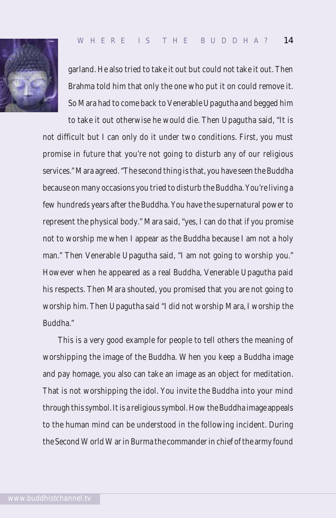

garland. He also tried to take it out but could not take it out. Then Brahma told him that only the one who put it on could remove it. So Mara had to come back to Venerable Upagutha and begged him

to take it out otherwise he would die. Then Upagutha said, "It is not difficult but I can only do it under two conditions. First, you must promise in future that you're not going to disturb any of our religious services." Mara agreed. "The second thing is that, you have seen the Buddha because on many occasions you tried to disturb the Buddha. You're living a few hundreds years after the Buddha. You have the supernatural power to represent the physical body." Mara said, "yes, I can do that if you promise not to worship me when I appear as the Buddha because I am not a holy man." Then Venerable Upagutha said, "I am not going to worship you." However when he appeared as a real Buddha, Venerable Upagutha paid his respects. Then Mara shouted, you promised that you are not going to worship him. Then Upagutha said "I did not worship Mara, I worship the Buddha."

This is a very good example for people to tell others the meaning of worshipping the image of the Buddha. When you keep a Buddha image and pay homage, you also can take an image as an object for meditation. That is not worshipping the idol. You invite the Buddha into your mind through this symbol. It is a religious symbol. How the Buddha image appeals to the human mind can be understood in the following incident. During the Second World War in Burma the commander in chief of the army found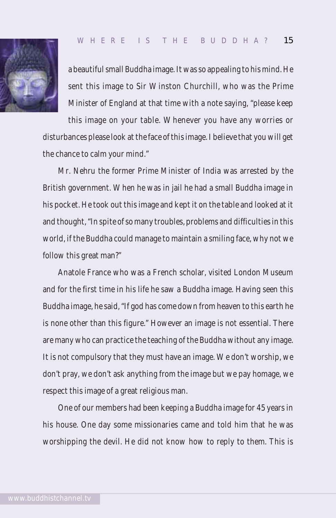

a beautiful small Buddha image. It was so appealing to his mind. He sent this image to Sir Winston Churchill, who was the Prime Minister of England at that time with a note saying, "please keep

this image on your table. Whenever you have any worries or disturbances please look at the face of this image. I believe that you will get the chance to calm your mind."

Mr. Nehru the former Prime Minister of India was arrested by the British government. When he was in jail he had a small Buddha image in his pocket. He took out this image and kept it on the table and looked at it and thought, "In spite of so many troubles, problems and difficulties in this world, if the Buddha could manage to maintain a smiling face, why not we follow this great man?"

Anatole France who was a French scholar, visited London Museum and for the first time in his life he saw a Buddha image. Having seen this Buddha image, he said, "If god has come down from heaven to this earth he is none other than this figure." However an image is not essential. There are many who can practice the teaching of the Buddha without any image. It is not compulsory that they must have an image. We don't worship, we don't pray, we don't ask anything from the image but we pay homage, we respect this image of a great religious man.

One of our members had been keeping a Buddha image for 45 years in his house. One day some missionaries came and told him that he was worshipping the devil. He did not know how to reply to them. This is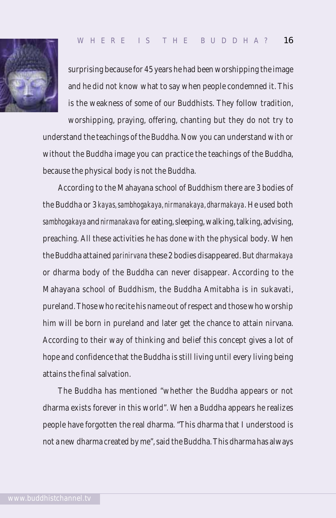

surprising because for 45 years he had been worshipping the image and he did not know what to say when people condemned it. This is the weakness of some of our Buddhists. They follow tradition,

worshipping, praying, offering, chanting but they do not try to understand the teachings of the Buddha. Now you can understand with or without the Buddha image you can practice the teachings of the Buddha, because the physical body is not the Buddha.

According to the Mahayana school of Buddhism there are 3 bodies of the Buddha or 3 *kayas, sambhogakaya, nirmanakaya, dharmakaya*. He used both *sambhogakaya* and *nirmanakava* for eating, sleeping, walking, talking, advising, preaching. All these activities he has done with the physical body. When the Buddha attained *parinirvana* these 2 bodies disappeared. But *dharmakaya* or dharma body of the Buddha can never disappear. According to the Mahayana school of Buddhism, the Buddha Amitabha is in sukavati, pureland. Those who recite his name out of respect and those who worship him will be born in pureland and later get the chance to attain nirvana. According to their way of thinking and belief this concept gives a lot of hope and confidence that the Buddha is still living until every living being attains the final salvation.

The Buddha has mentioned "whether the Buddha appears or not dharma exists forever in this world". When a Buddha appears he realizes people have forgotten the real dharma. "This dharma that I understood is not a new dharma created by me", said the Buddha. This dharma has always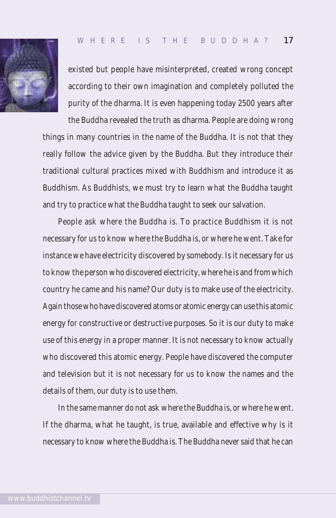

existed but people have misinterpreted, created wrong concept according to their own imagination and completely polluted the purity of the dharma. It is even happening today 2500 years after

the Buddha revealed the truth as dharma. People are doing wrong things in many countries in the name of the Buddha. It is not that they really follow the advice given by the Buddha. But they introduce their traditional cultural practices mixed with Buddhism and introduce it as Buddhism. As Buddhists, we must try to learn what the Buddha taught and try to practice what the Buddha taught to seek our salvation.

People ask where the Buddha is. To practice Buddhism it is not necessary for us to know where the Buddha is, or where he went. Take for instance we have electricity discovered by somebody. Is it necessary for us to know the person who discovered electricity, where he is and from which country he came and his name? Our duty is to make use of the electricity. Again those who have discovered atoms or atomic energy can use this atomic energy for constructive or destructive purposes. So it is our duty to make use of this energy in a proper manner. It is not necessary to know actually who discovered this atomic energy. People have discovered the computer and television but it is not necessary for us to know the names and the details of them, our duty is to use them.

In the same manner do not ask where the Buddha is, or where he went. If the dharma, what he taught, is true, available and effective why is it necessary to know where the Buddha is. The Buddha never said that he can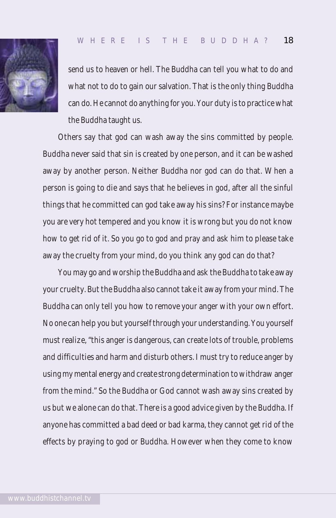

send us to heaven or hell. The Buddha can tell you what to do and what not to do to gain our salvation. That is the only thing Buddha can do. He cannot do anything for you. Your duty is to practice what the Buddha taught us.

Others say that god can wash away the sins committed by people. Buddha never said that sin is created by one person, and it can be washed away by another person. Neither Buddha nor god can do that. When a person is going to die and says that he believes in god, after all the sinful things that he committed can god take away his sins? For instance maybe you are very hot tempered and you know it is wrong but you do not know how to get rid of it. So you go to god and pray and ask him to please take away the cruelty from your mind, do you think any god can do that?

You may go and worship the Buddha and ask the Buddha to take away your cruelty. But the Buddha also cannot take it away from your mind. The Buddha can only tell you how to remove your anger with your own effort. No one can help you but yourself through your understanding. You yourself must realize, "this anger is dangerous, can create lots of trouble, problems and difficulties and harm and disturb others. I must try to reduce anger by using my mental energy and create strong determination to withdraw anger from the mind." So the Buddha or God cannot wash away sins created by us but we alone can do that. There is a good advice given by the Buddha. If anyone has committed a bad deed or bad karma, they cannot get rid of the effects by praying to god or Buddha. However when they come to know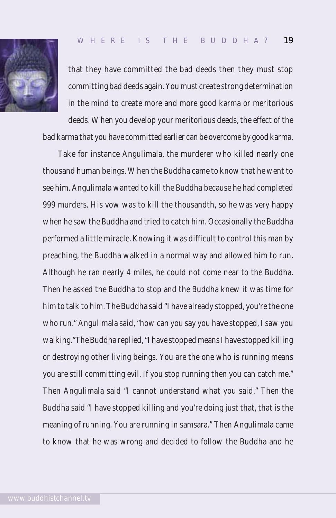

that they have committed the bad deeds then they must stop committing bad deeds again. You must create strong determination in the mind to create more and more good karma or meritorious deeds. When you develop your meritorious deeds, the effect of the

bad karma that you have committed earlier can be overcome by good karma.

Take for instance Angulimala, the murderer who killed nearly one thousand human beings. When the Buddha came to know that he went to see him. Angulimala wanted to kill the Buddha because he had completed 999 murders. His vow was to kill the thousandth, so he was very happy when he saw the Buddha and tried to catch him. Occasionally the Buddha performed a little miracle. Knowing it was difficult to control this man by preaching, the Buddha walked in a normal way and allowed him to run. Although he ran nearly 4 miles, he could not come near to the Buddha. Then he asked the Buddha to stop and the Buddha knew it was time for him to talk to him. The Buddha said "I have already stopped, you're the one who run." Angulimala said, "how can you say you have stopped, I saw you walking."The Buddha replied, "I have stopped means I have stopped killing or destroying other living beings. You are the one who is running means you are still committing evil. If you stop running then you can catch me." Then Angulimala said "I cannot understand what you said." Then the Buddha said "I have stopped killing and you're doing just that, that is the meaning of running. You are running in samsara." Then Angulimala came to know that he was wrong and decided to follow the Buddha and he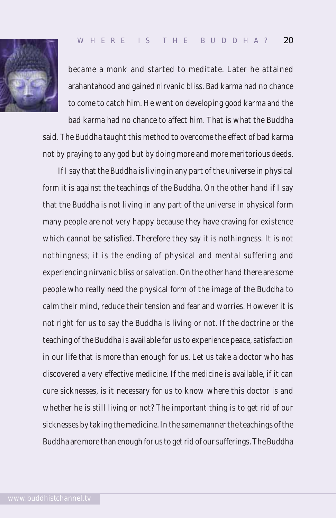

became a monk and started to meditate. Later he attained arahantahood and gained nirvanic bliss. Bad karma had no chance to come to catch him. He went on developing good karma and the

bad karma had no chance to affect him. That is what the Buddha said. The Buddha taught this method to overcome the effect of bad karma not by praying to any god but by doing more and more meritorious deeds.

If I say that the Buddha is living in any part of the universe in physical form it is against the teachings of the Buddha. On the other hand if I say that the Buddha is not living in any part of the universe in physical form many people are not very happy because they have craving for existence which cannot be satisfied. Therefore they say it is nothingness. It is not nothingness; it is the ending of physical and mental suffering and experiencing nirvanic bliss or salvation. On the other hand there are some people who really need the physical form of the image of the Buddha to calm their mind, reduce their tension and fear and worries. However it is not right for us to say the Buddha is living or not. If the doctrine or the teaching of the Buddha is available for us to experience peace, satisfaction in our life that is more than enough for us. Let us take a doctor who has discovered a very effective medicine. If the medicine is available, if it can cure sicknesses, is it necessary for us to know where this doctor is and whether he is still living or not? The important thing is to get rid of our sicknesses by taking the medicine. In the same manner the teachings of the Buddha are more than enough for us to get rid of our sufferings. The Buddha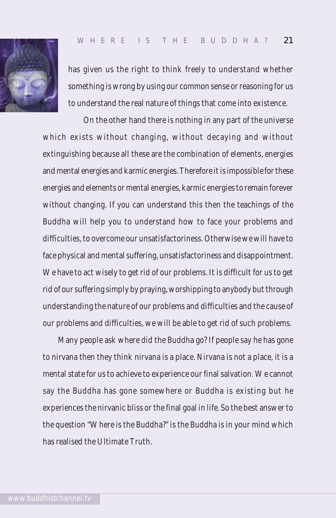

has given us the right to think freely to understand whether something is wrong by using our common sense or reasoning for us to understand the real nature of things that come into existence.

On the other hand there is nothing in any part of the universe which exists without changing, without decaying and without extinguishing because all these are the combination of elements, energies and mental energies and karmic energies. Therefore it is impossible for these energies and elements or mental energies, karmic energies to remain forever without changing. If you can understand this then the teachings of the Buddha will help you to understand how to face your problems and difficulties, to overcome our unsatisfactoriness. Otherwise we will have to face physical and mental suffering, unsatisfactoriness and disappointment. We have to act wisely to get rid of our problems. It is difficult for us to get rid of our suffering simply by praying, worshipping to anybody but through understanding the nature of our problems and difficulties and the cause of our problems and difficulties, we will be able to get rid of such problems.

Many people ask where did the Buddha go? If people say he has gone to nirvana then they think nirvana is a place. Nirvana is not a place, it is a mental state for us to achieve to experience our final salvation. We cannot say the Buddha has gone somewhere or Buddha is existing but he experiences the nirvanic bliss or the final goal in life. So the best answer to the question "Where is the Buddha?" is the Buddha is in your mind which has realised the Ultimate Truth.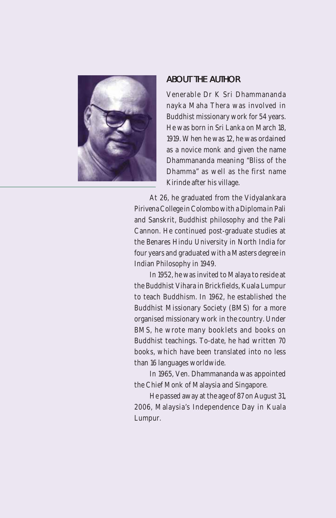

#### ABOUT THE AUTHOR

Venerable Dr K Sri Dhammananda nayka Maha Thera was involved in Buddhist missionary work for 54 years. He was born in Sri Lanka on March 18, 1919. When he was 12, he was ordained as a novice monk and given the name Dhammananda meaning "Bliss of the Dhamma" as well as the first name Kirinde after his village.

At 26, he graduated from the Vidyalankara Pirivena College in Colombo with a Diploma in Pali and Sanskrit, Buddhist philosophy and the Pali Cannon. He continued post-graduate studies at the Benares Hindu University in North India for four years and graduated with a Masters degree in Indian Philosophy in 1949.

In 1952, he was invited to Malaya to reside at the Buddhist Vihara in Brickfields, Kuala Lumpur to teach Buddhism. In 1962, he established the Buddhist Missionary Society (BMS) for a more organised missionary work in the country. Under BMS, he wrote many booklets and books on Buddhist teachings. To-date, he had written 70 books, which have been translated into no less than 16 languages worldwide.

In 1965, Ven. Dhammananda was appointed the Chief Monk of Malaysia and Singapore.

He passed away at the age of 87 on August 31, 2006, Malaysia's Independence Day in Kuala Lumpur.